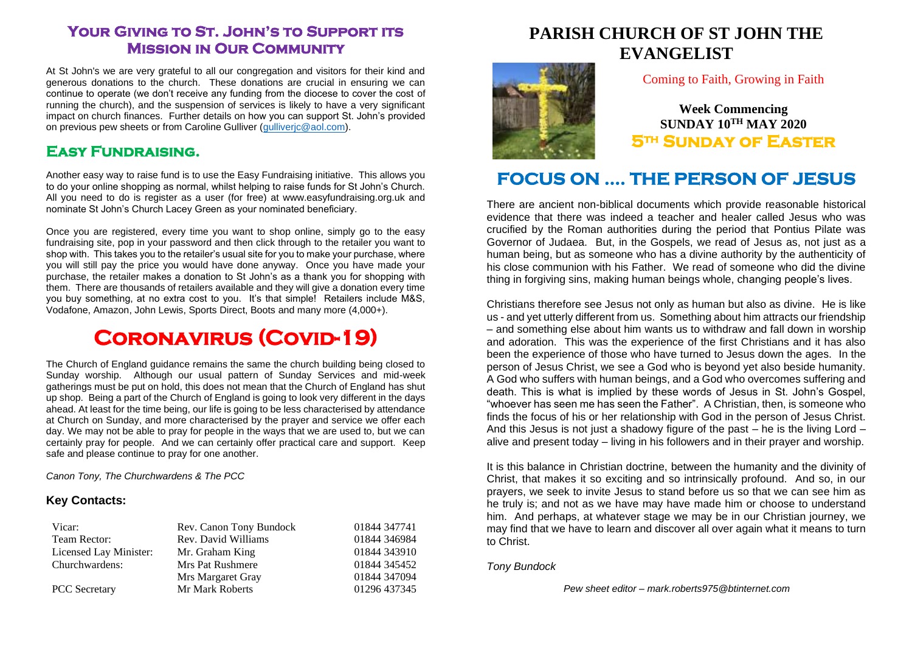### **Your Giving to St. John's to Support its Mission in Our Community**

At St John's we are very grateful to all our congregation and visitors for their kind and generous donations to the church. These donations are crucial in ensuring we can continue to operate (we don't receive any funding from the diocese to cover the cost of running the church), and the suspension of services is likely to have a very significant impact on church finances. Further details on how you can support St. John's provided on previous pew sheets or from Caroline Gulliver (gulliveric@aol.com).

### **Easy Fundraising.**

Another easy way to raise fund is to use the Easy Fundraising initiative. This allows you to do your online shopping as normal, whilst helping to raise funds for St John's Church. All you need to do is register as a user (for free) at www.easyfundraising.org.uk and nominate St John's Church Lacey Green as your nominated beneficiary.

Once you are registered, every time you want to shop online, simply go to the easy fundraising site, pop in your password and then click through to the retailer you want to shop with. This takes you to the retailer's usual site for you to make your purchase, where you will still pay the price you would have done anyway. Once you have made your purchase, the retailer makes a donation to St John's as a thank you for shopping with them. There are thousands of retailers available and they will give a donation every time you buy something, at no extra cost to you. It's that simple! Retailers include M&S, Vodafone, Amazon, John Lewis, Sports Direct, Boots and many more (4,000+).

# **Coronavirus (Covid-19)**

The Church of England guidance remains the same the church building being closed to Sunday worship. Although our usual pattern of Sunday Services and mid-week gatherings must be put on hold, this does not mean that the Church of England has shut up shop. Being a part of the Church of England is going to look very different in the days ahead. At least for the time being, our life is going to be less characterised by attendance at Church on Sunday, and more characterised by the prayer and service we offer each day. We may not be able to pray for people in the ways that we are used to, but we can certainly pray for people. And we can certainly offer practical care and support. Keep safe and please continue to pray for one another.

*Canon Tony, The Churchwardens & The PCC*

#### **Key Contacts:**

| Vicar:                 | Rev. Canon Tony Bundock | 01844 347741 |
|------------------------|-------------------------|--------------|
| Team Rector:           | Rev. David Williams     | 01844 346984 |
| Licensed Lay Minister: | Mr. Graham King         | 01844 343910 |
| Churchwardens:         | Mrs Pat Rushmere        | 01844 345452 |
|                        | Mrs Margaret Gray       | 01844 347094 |
| <b>PCC</b> Secretary   | Mr Mark Roberts         | 01296 437345 |

# **PARISH CHURCH OF ST JOHN THE EVANGELIST**



### Coming to Faith, Growing in Faith

**Week Commencing SUNDAY 10TH MAY 2020 5th Sunday of Easter** 

# **FOCUS ON …. THE PERSON OF JESUS**

There are ancient non-biblical documents which provide reasonable historical evidence that there was indeed a teacher and healer called Jesus who was crucified by the Roman authorities during the period that Pontius Pilate was Governor of Judaea. But, in the Gospels, we read of Jesus as, not just as a human being, but as someone who has a divine authority by the authenticity of his close communion with his Father. We read of someone who did the divine thing in forgiving sins, making human beings whole, changing people's lives.

Christians therefore see Jesus not only as human but also as divine. He is like us - and yet utterly different from us. Something about him attracts our friendship – and something else about him wants us to withdraw and fall down in worship and adoration. This was the experience of the first Christians and it has also been the experience of those who have turned to Jesus down the ages. In the person of Jesus Christ, we see a God who is beyond yet also beside humanity. A God who suffers with human beings, and a God who overcomes suffering and death. This is what is implied by these words of Jesus in St. John's Gospel, "whoever has seen me has seen the Father". A Christian, then, is someone who finds the focus of his or her relationship with God in the person of Jesus Christ. And this Jesus is not just a shadowy figure of the past  $-$  he is the living Lord  $$ alive and present today – living in his followers and in their prayer and worship.

It is this balance in Christian doctrine, between the humanity and the divinity of Christ, that makes it so exciting and so intrinsically profound. And so, in our prayers, we seek to invite Jesus to stand before us so that we can see him as he truly is; and not as we have may have made him or choose to understand him. And perhaps, at whatever stage we may be in our Christian journey, we may find that we have to learn and discover all over again what it means to turn to Christ.

*Tony Bundock*

*Pew sheet editor – mark.roberts975@btinternet.com*